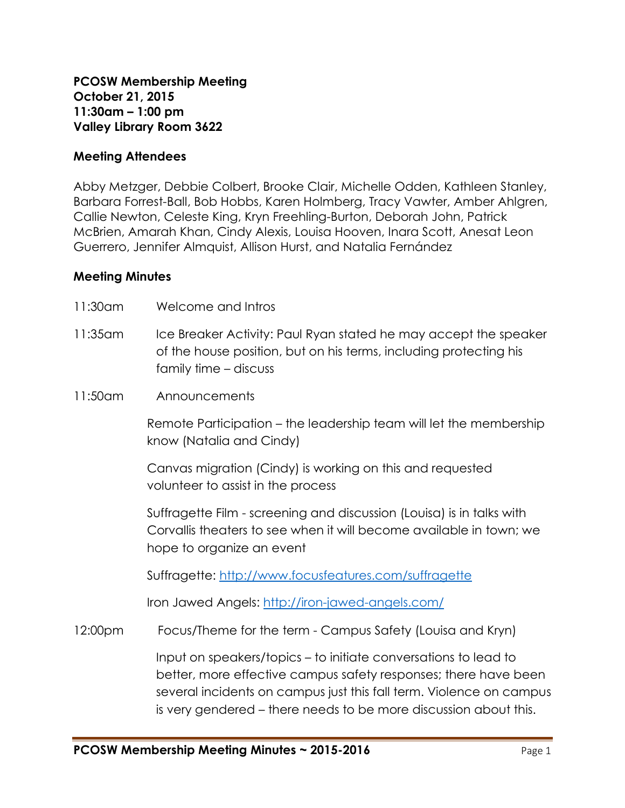### **Meeting Attendees**

Abby Metzger, Debbie Colbert, Brooke Clair, Michelle Odden, Kathleen Stanley, Barbara Forrest-Ball, Bob Hobbs, Karen Holmberg, Tracy Vawter, Amber Ahlgren, Callie Newton, Celeste King, Kryn Freehling-Burton, Deborah John, Patrick McBrien, Amarah Khan, Cindy Alexis, Louisa Hooven, Inara Scott, Anesat Leon Guerrero, Jennifer Almquist, Allison Hurst, and Natalia Fernández

### **Meeting Minutes**

- 11:30am Welcome and Intros
- 11:35am Ice Breaker Activity: Paul Ryan stated he may accept the speaker of the house position, but on his terms, including protecting his family time – discuss
- 11:50am Announcements

Remote Participation – the leadership team will let the membership know (Natalia and Cindy)

Canvas migration (Cindy) is working on this and requested volunteer to assist in the process

Suffragette Film - screening and discussion (Louisa) is in talks with Corvallis theaters to see when it will become available in town; we hope to organize an event

Suffragette:<http://www.focusfeatures.com/suffragette>

Iron Jawed Angels:<http://iron-jawed-angels.com/>

12:00pm Focus/Theme for the term - Campus Safety (Louisa and Kryn)

Input on speakers/topics – to initiate conversations to lead to better, more effective campus safety responses; there have been several incidents on campus just this fall term. Violence on campus is very gendered – there needs to be more discussion about this.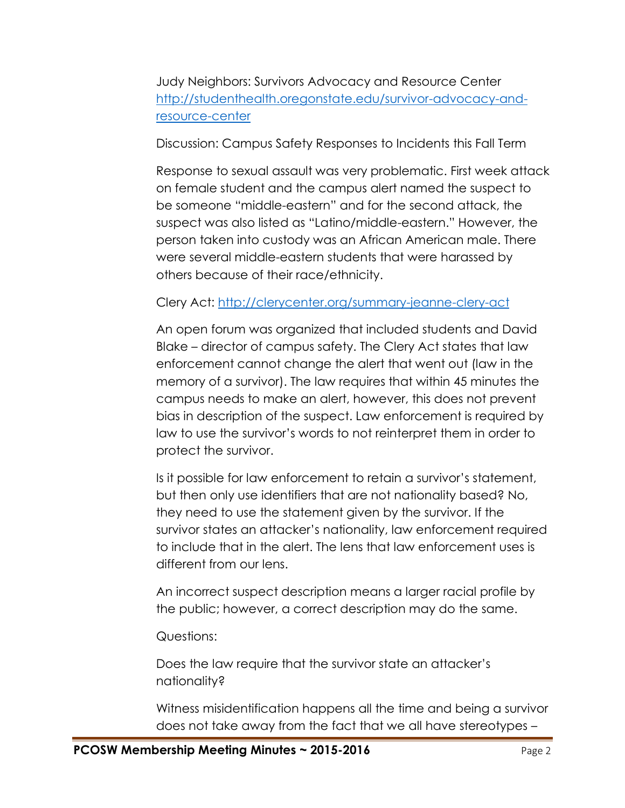Judy Neighbors: Survivors Advocacy and Resource Center [http://studenthealth.oregonstate.edu/survivor-advocacy-and](http://studenthealth.oregonstate.edu/survivor-advocacy-and-resource-center)[resource-center](http://studenthealth.oregonstate.edu/survivor-advocacy-and-resource-center)

Discussion: Campus Safety Responses to Incidents this Fall Term

Response to sexual assault was very problematic. First week attack on female student and the campus alert named the suspect to be someone "middle-eastern" and for the second attack, the suspect was also listed as "Latino/middle-eastern." However, the person taken into custody was an African American male. There were several middle-eastern students that were harassed by others because of their race/ethnicity.

# Clery Act:<http://clerycenter.org/summary-jeanne-clery-act>

An open forum was organized that included students and David Blake – director of campus safety. The Clery Act states that law enforcement cannot change the alert that went out (law in the memory of a survivor). The law requires that within 45 minutes the campus needs to make an alert, however, this does not prevent bias in description of the suspect. Law enforcement is required by law to use the survivor's words to not reinterpret them in order to protect the survivor.

Is it possible for law enforcement to retain a survivor's statement, but then only use identifiers that are not nationality based? No, they need to use the statement given by the survivor. If the survivor states an attacker's nationality, law enforcement required to include that in the alert. The lens that law enforcement uses is different from our lens.

An incorrect suspect description means a larger racial profile by the public; however, a correct description may do the same.

Questions:

Does the law require that the survivor state an attacker's nationality?

Witness misidentification happens all the time and being a survivor does not take away from the fact that we all have stereotypes –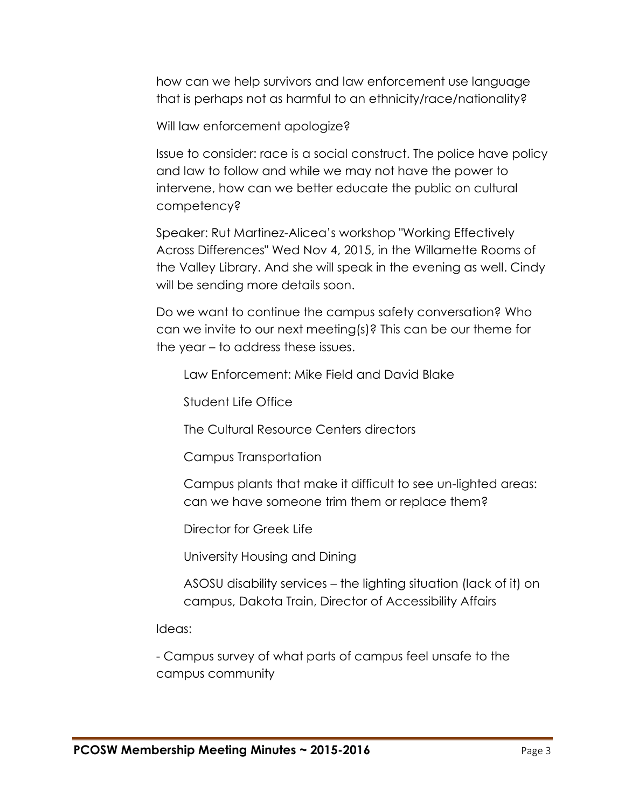how can we help survivors and law enforcement use language that is perhaps not as harmful to an ethnicity/race/nationality?

Will law enforcement apologize?

Issue to consider: race is a social construct. The police have policy and law to follow and while we may not have the power to intervene, how can we better educate the public on cultural competency?

Speaker: Rut Martinez-Alicea's workshop "Working Effectively Across Differences" Wed Nov 4, 2015, in the Willamette Rooms of the Valley Library. And she will speak in the evening as well. Cindy will be sending more details soon.

Do we want to continue the campus safety conversation? Who can we invite to our next meeting(s)? This can be our theme for the year – to address these issues.

Law Enforcement: Mike Field and David Blake

Student Life Office

The Cultural Resource Centers directors

Campus Transportation

Campus plants that make it difficult to see un-lighted areas: can we have someone trim them or replace them?

Director for Greek Life

University Housing and Dining

ASOSU disability services – the lighting situation (lack of it) on campus, Dakota Train, Director of Accessibility Affairs

Ideas:

- Campus survey of what parts of campus feel unsafe to the campus community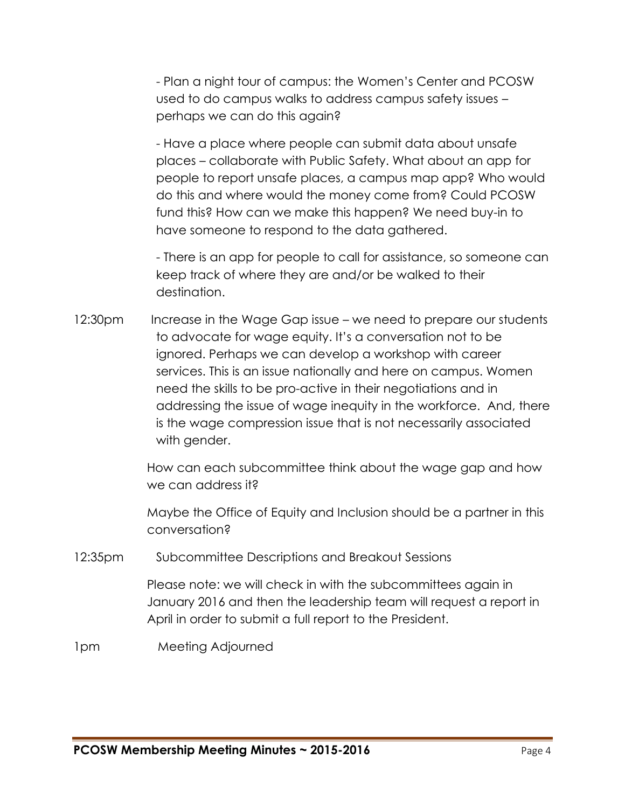- Plan a night tour of campus: the Women's Center and PCOSW used to do campus walks to address campus safety issues – perhaps we can do this again?

- Have a place where people can submit data about unsafe places – collaborate with Public Safety. What about an app for people to report unsafe places, a campus map app? Who would do this and where would the money come from? Could PCOSW fund this? How can we make this happen? We need buy-in to have someone to respond to the data gathered.

- There is an app for people to call for assistance, so someone can keep track of where they are and/or be walked to their destination.

12:30pm Increase in the Wage Gap issue – we need to prepare our students to advocate for wage equity. It's a conversation not to be ignored. Perhaps we can develop a workshop with career services. This is an issue nationally and here on campus. Women need the skills to be pro-active in their negotiations and in addressing the issue of wage inequity in the workforce. And, there is the wage compression issue that is not necessarily associated with gender.

> How can each subcommittee think about the wage gap and how we can address it?

> Maybe the Office of Equity and Inclusion should be a partner in this conversation?

12:35pm Subcommittee Descriptions and Breakout Sessions

Please note: we will check in with the subcommittees again in January 2016 and then the leadership team will request a report in April in order to submit a full report to the President.

1pm Meeting Adjourned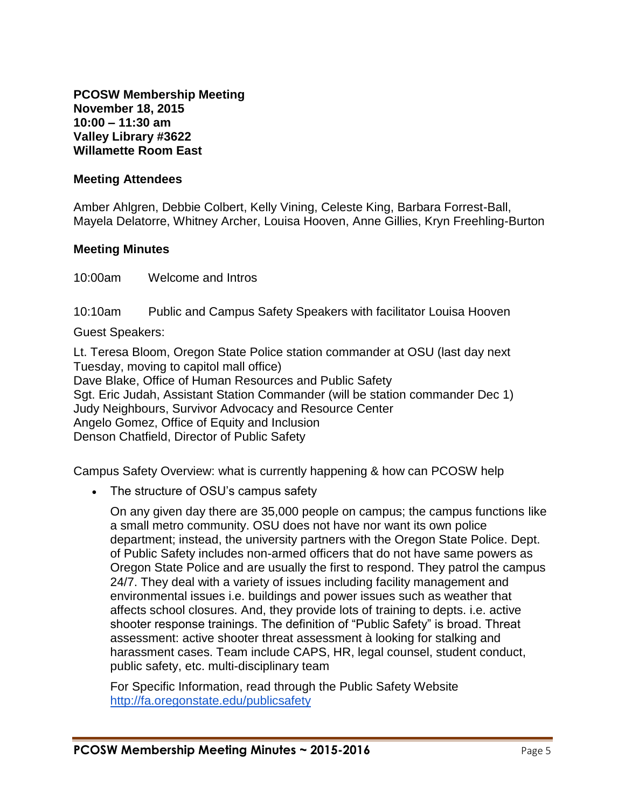**PCOSW Membership Meeting November 18, 2015 10:00 – 11:30 am Valley Library #3622 Willamette Room East**

### **Meeting Attendees**

Amber Ahlgren, Debbie Colbert, Kelly Vining, Celeste King, Barbara Forrest-Ball, Mayela Delatorre, Whitney Archer, Louisa Hooven, Anne Gillies, Kryn Freehling-Burton

### **Meeting Minutes**

10:00am Welcome and Intros

10:10am Public and Campus Safety Speakers with facilitator Louisa Hooven

Guest Speakers:

Lt. Teresa Bloom, Oregon State Police station commander at OSU (last day next Tuesday, moving to capitol mall office) Dave Blake, Office of Human Resources and Public Safety Sgt. Eric Judah, Assistant Station Commander (will be station commander Dec 1) Judy Neighbours, Survivor Advocacy and Resource Center Angelo Gomez, Office of Equity and Inclusion Denson Chatfield, Director of Public Safety

Campus Safety Overview: what is currently happening & how can PCOSW help

• The structure of OSU's campus safety

On any given day there are 35,000 people on campus; the campus functions like a small metro community. OSU does not have nor want its own police department; instead, the university partners with the Oregon State Police. Dept. of Public Safety includes non-armed officers that do not have same powers as Oregon State Police and are usually the first to respond. They patrol the campus 24/7. They deal with a variety of issues including facility management and environmental issues i.e. buildings and power issues such as weather that affects school closures. And, they provide lots of training to depts. i.e. active shooter response trainings. The definition of "Public Safety" is broad. Threat assessment: active shooter threat assessment à looking for stalking and harassment cases. Team include CAPS, HR, legal counsel, student conduct, public safety, etc. multi-disciplinary team

For Specific Information, read through the Public Safety Websit[e](http://fa.oregonstate.edu/publicsafety) <http://fa.oregonstate.edu/publicsafety>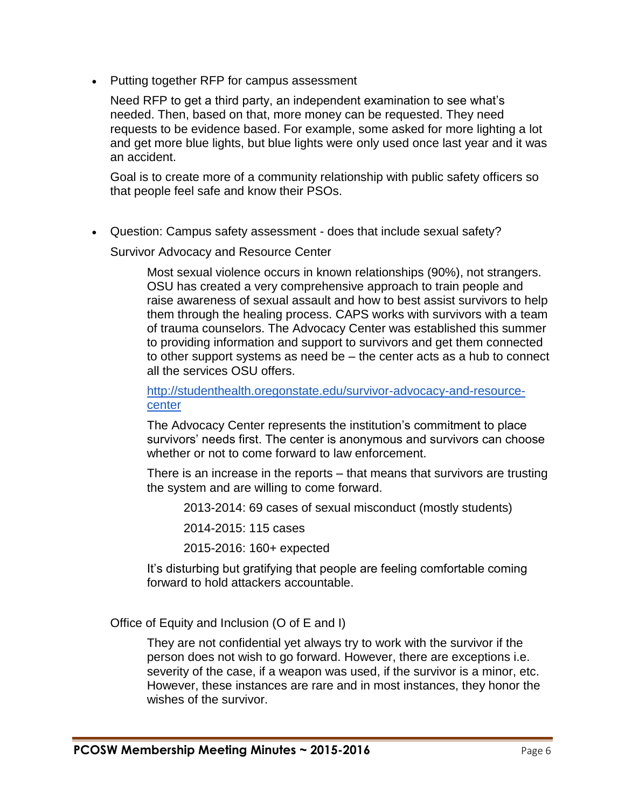• Putting together RFP for campus assessment

Need RFP to get a third party, an independent examination to see what's needed. Then, based on that, more money can be requested. They need requests to be evidence based. For example, some asked for more lighting a lot and get more blue lights, but blue lights were only used once last year and it was an accident.

Goal is to create more of a community relationship with public safety officers so that people feel safe and know their PSOs.

Question: Campus safety assessment - does that include sexual safety?

Survivor Advocacy and Resource Center

Most sexual violence occurs in known relationships (90%), not strangers. OSU has created a very comprehensive approach to train people and raise awareness of sexual assault and how to best assist survivors to help them through the healing process. CAPS works with survivors with a team of trauma counselors. The Advocacy Center was established this summer to providing information and support to survivors and get them connected to other support systems as need be – the center acts as a hub to connect all the services OSU offers.

[http://studenthealth.oregonstate.edu/survivor-advocacy-and-resource](http://studenthealth.oregonstate.edu/survivor-advocacy-and-resource-center)[center](http://studenthealth.oregonstate.edu/survivor-advocacy-and-resource-center)

The Advocacy Center represents the institution's commitment to place survivors' needs first. The center is anonymous and survivors can choose whether or not to come forward to law enforcement.

There is an increase in the reports – that means that survivors are trusting the system and are willing to come forward.

2013-2014: 69 cases of sexual misconduct (mostly students)

2014-2015: 115 cases

2015-2016: 160+ expected

It's disturbing but gratifying that people are feeling comfortable coming forward to hold attackers accountable.

Office of Equity and Inclusion (O of E and I)

They are not confidential yet always try to work with the survivor if the person does not wish to go forward. However, there are exceptions i.e. severity of the case, if a weapon was used, if the survivor is a minor, etc. However, these instances are rare and in most instances, they honor the wishes of the survivor.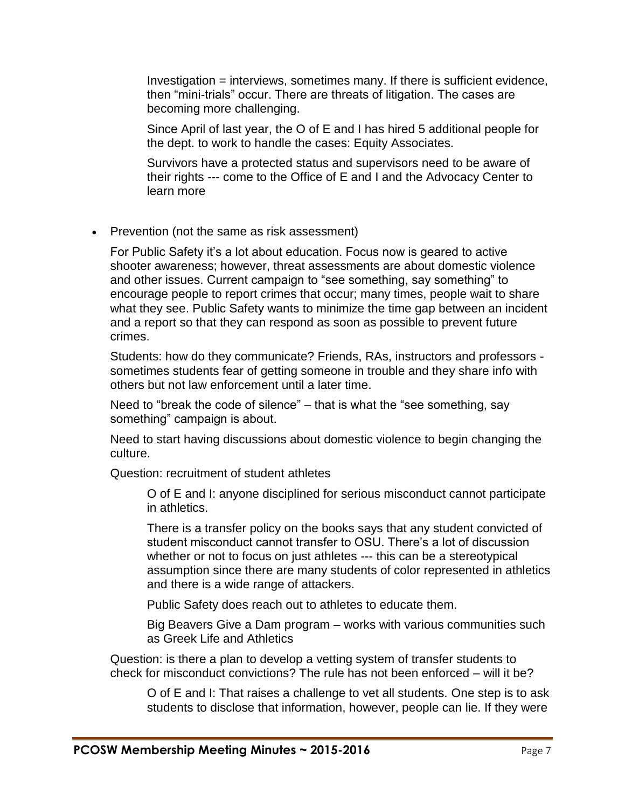Investigation = interviews, sometimes many. If there is sufficient evidence, then "mini-trials" occur. There are threats of litigation. The cases are becoming more challenging.

Since April of last year, the O of E and I has hired 5 additional people for the dept. to work to handle the cases: Equity Associates.

Survivors have a protected status and supervisors need to be aware of their rights --- come to the Office of E and I and the Advocacy Center to learn more

• Prevention (not the same as risk assessment)

For Public Safety it's a lot about education. Focus now is geared to active shooter awareness; however, threat assessments are about domestic violence and other issues. Current campaign to "see something, say something" to encourage people to report crimes that occur; many times, people wait to share what they see. Public Safety wants to minimize the time gap between an incident and a report so that they can respond as soon as possible to prevent future crimes.

Students: how do they communicate? Friends, RAs, instructors and professors sometimes students fear of getting someone in trouble and they share info with others but not law enforcement until a later time.

Need to "break the code of silence" – that is what the "see something, say something" campaign is about.

Need to start having discussions about domestic violence to begin changing the culture.

Question: recruitment of student athletes

O of E and I: anyone disciplined for serious misconduct cannot participate in athletics.

There is a transfer policy on the books says that any student convicted of student misconduct cannot transfer to OSU. There's a lot of discussion whether or not to focus on just athletes --- this can be a stereotypical assumption since there are many students of color represented in athletics and there is a wide range of attackers.

Public Safety does reach out to athletes to educate them.

Big Beavers Give a Dam program – works with various communities such as Greek Life and Athletics

Question: is there a plan to develop a vetting system of transfer students to check for misconduct convictions? The rule has not been enforced – will it be?

O of E and I: That raises a challenge to vet all students. One step is to ask students to disclose that information, however, people can lie. If they were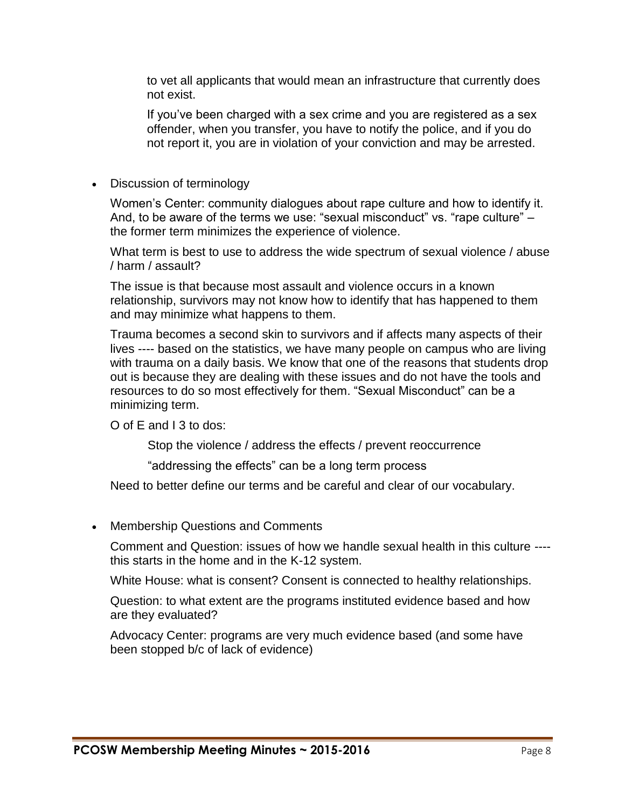to vet all applicants that would mean an infrastructure that currently does not exist.

If you've been charged with a sex crime and you are registered as a sex offender, when you transfer, you have to notify the police, and if you do not report it, you are in violation of your conviction and may be arrested.

### • Discussion of terminology

Women's Center: community dialogues about rape culture and how to identify it. And, to be aware of the terms we use: "sexual misconduct" vs. "rape culture" – the former term minimizes the experience of violence.

What term is best to use to address the wide spectrum of sexual violence / abuse / harm / assault?

The issue is that because most assault and violence occurs in a known relationship, survivors may not know how to identify that has happened to them and may minimize what happens to them.

Trauma becomes a second skin to survivors and if affects many aspects of their lives ---- based on the statistics, we have many people on campus who are living with trauma on a daily basis. We know that one of the reasons that students drop out is because they are dealing with these issues and do not have the tools and resources to do so most effectively for them. "Sexual Misconduct" can be a minimizing term.

O of E and I 3 to dos:

Stop the violence / address the effects / prevent reoccurrence

"addressing the effects" can be a long term process

Need to better define our terms and be careful and clear of our vocabulary.

• Membership Questions and Comments

Comment and Question: issues of how we handle sexual health in this culture --- this starts in the home and in the K-12 system.

White House: what is consent? Consent is connected to healthy relationships.

Question: to what extent are the programs instituted evidence based and how are they evaluated?

Advocacy Center: programs are very much evidence based (and some have been stopped b/c of lack of evidence)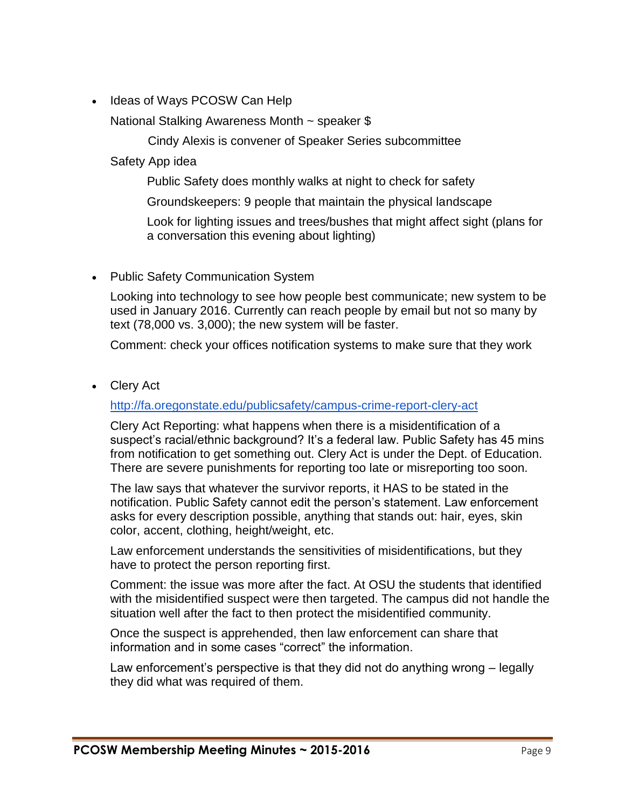• Ideas of Ways PCOSW Can Help

National Stalking Awareness Month ~ speaker \$

Cindy Alexis is convener of Speaker Series subcommittee

Safety App idea

Public Safety does monthly walks at night to check for safety

Groundskeepers: 9 people that maintain the physical landscape

Look for lighting issues and trees/bushes that might affect sight (plans for a conversation this evening about lighting)

• Public Safety Communication System

Looking into technology to see how people best communicate; new system to be used in January 2016. Currently can reach people by email but not so many by text (78,000 vs. 3,000); the new system will be faster.

Comment: check your offices notification systems to make sure that they work

Clery Act

<http://fa.oregonstate.edu/publicsafety/campus-crime-report-clery-act>

Clery Act Reporting: what happens when there is a misidentification of a suspect's racial/ethnic background? It's a federal law. Public Safety has 45 mins from notification to get something out. Clery Act is under the Dept. of Education. There are severe punishments for reporting too late or misreporting too soon.

The law says that whatever the survivor reports, it HAS to be stated in the notification. Public Safety cannot edit the person's statement. Law enforcement asks for every description possible, anything that stands out: hair, eyes, skin color, accent, clothing, height/weight, etc.

Law enforcement understands the sensitivities of misidentifications, but they have to protect the person reporting first.

Comment: the issue was more after the fact. At OSU the students that identified with the misidentified suspect were then targeted. The campus did not handle the situation well after the fact to then protect the misidentified community.

Once the suspect is apprehended, then law enforcement can share that information and in some cases "correct" the information.

Law enforcement's perspective is that they did not do anything wrong – legally they did what was required of them.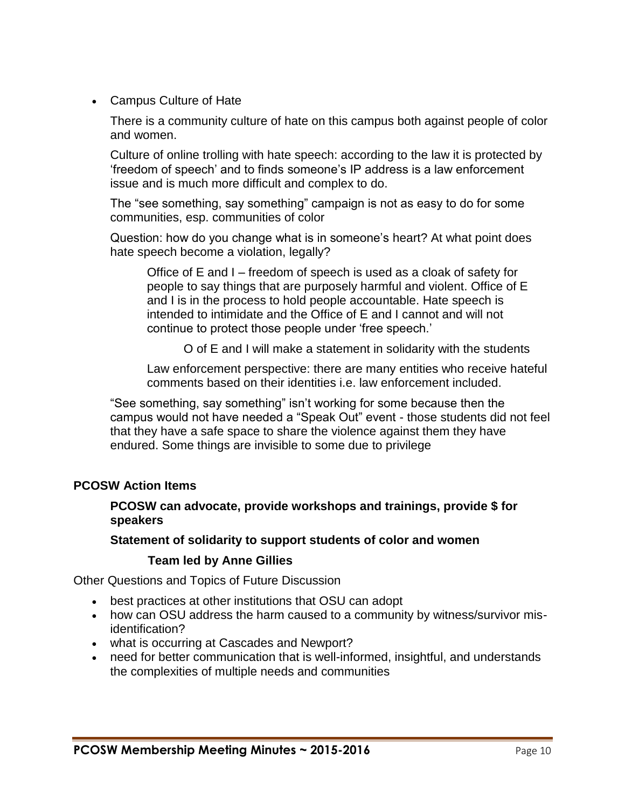Campus Culture of Hate

There is a community culture of hate on this campus both against people of color and women.

Culture of online trolling with hate speech: according to the law it is protected by 'freedom of speech' and to finds someone's IP address is a law enforcement issue and is much more difficult and complex to do.

The "see something, say something" campaign is not as easy to do for some communities, esp. communities of color

Question: how do you change what is in someone's heart? At what point does hate speech become a violation, legally?

Office of E and I – freedom of speech is used as a cloak of safety for people to say things that are purposely harmful and violent. Office of E and I is in the process to hold people accountable. Hate speech is intended to intimidate and the Office of E and I cannot and will not continue to protect those people under 'free speech.'

O of E and I will make a statement in solidarity with the students

Law enforcement perspective: there are many entities who receive hateful comments based on their identities i.e. law enforcement included.

"See something, say something" isn't working for some because then the campus would not have needed a "Speak Out" event - those students did not feel that they have a safe space to share the violence against them they have endured. Some things are invisible to some due to privilege

### **PCOSW Action Items**

**PCOSW can advocate, provide workshops and trainings, provide \$ for speakers**

### **Statement of solidarity to support students of color and women**

### **Team led by Anne Gillies**

Other Questions and Topics of Future Discussion

- best practices at other institutions that OSU can adopt
- how can OSU address the harm caused to a community by witness/survivor misidentification?
- what is occurring at Cascades and Newport?
- need for better communication that is well-informed, insightful, and understands the complexities of multiple needs and communities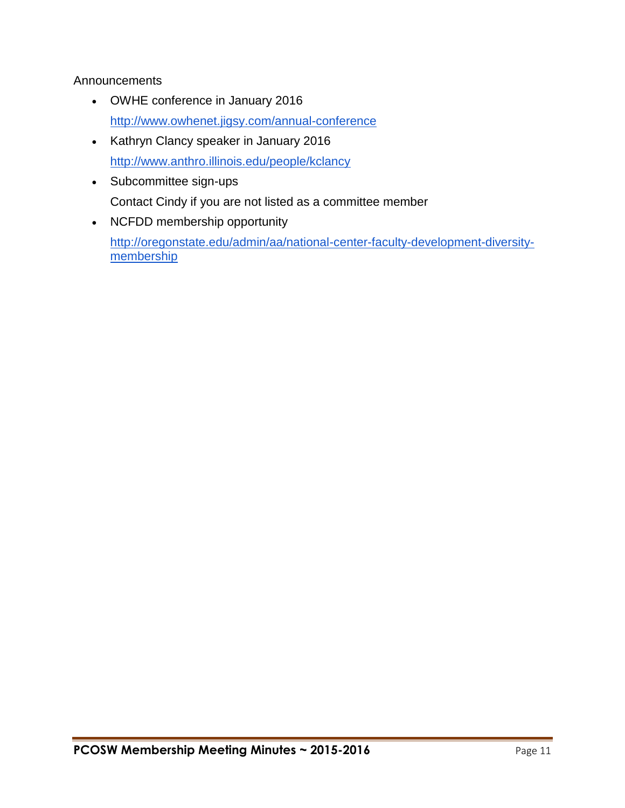## Announcements

- OWHE conference in January 2016 <http://www.owhenet.jigsy.com/annual-conference>
- Kathryn Clancy speaker in January 2016 <http://www.anthro.illinois.edu/people/kclancy>
- Subcommittee sign-ups Contact Cindy if you are not listed as a committee member
- NCFDD membership opportunity [http://oregonstate.edu/admin/aa/national-center-faculty-development-diversity](http://oregonstate.edu/admin/aa/national-center-faculty-development-diversity-membership)[membership](http://oregonstate.edu/admin/aa/national-center-faculty-development-diversity-membership)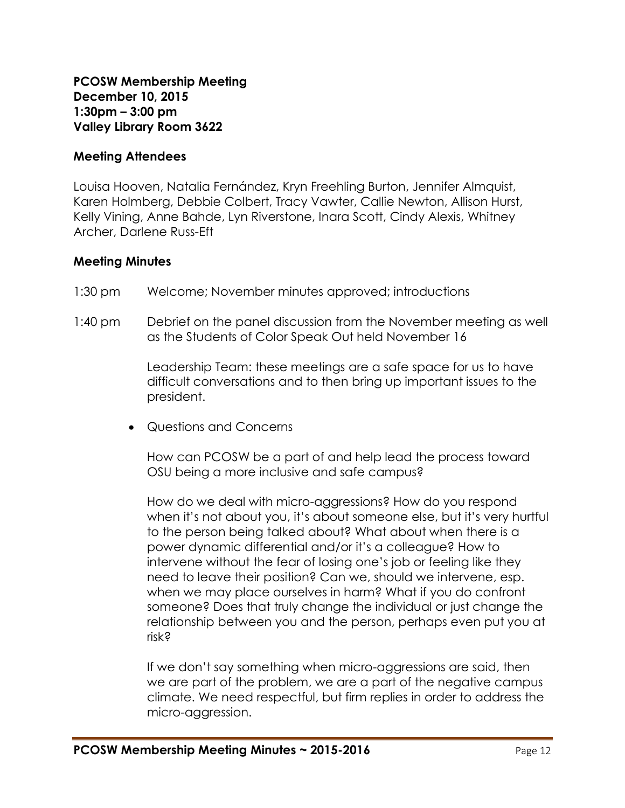**PCOSW Membership Meeting December 10, 2015 1:30pm – 3:00 pm Valley Library Room 3622**

### **Meeting Attendees**

Louisa Hooven, Natalia Fernández, Kryn Freehling Burton, Jennifer Almquist, Karen Holmberg, Debbie Colbert, Tracy Vawter, Callie Newton, Allison Hurst, Kelly Vining, Anne Bahde, Lyn Riverstone, Inara Scott, Cindy Alexis, Whitney Archer, Darlene Russ-Eft

#### **Meeting Minutes**

- 1:30 pm Welcome; November minutes approved; introductions
- 1:40 pm Debrief on the panel discussion from the November meeting as well as the Students of Color Speak Out held November 16

Leadership Team: these meetings are a safe space for us to have difficult conversations and to then bring up important issues to the president.

Questions and Concerns

How can PCOSW be a part of and help lead the process toward OSU being a more inclusive and safe campus?

How do we deal with micro-aggressions? How do you respond when it's not about you, it's about someone else, but it's very hurtful to the person being talked about? What about when there is a power dynamic differential and/or it's a colleague? How to intervene without the fear of losing one's job or feeling like they need to leave their position? Can we, should we intervene, esp. when we may place ourselves in harm? What if you do confront someone? Does that truly change the individual or just change the relationship between you and the person, perhaps even put you at risk?

If we don't say something when micro-aggressions are said, then we are part of the problem, we are a part of the negative campus climate. We need respectful, but firm replies in order to address the micro-aggression.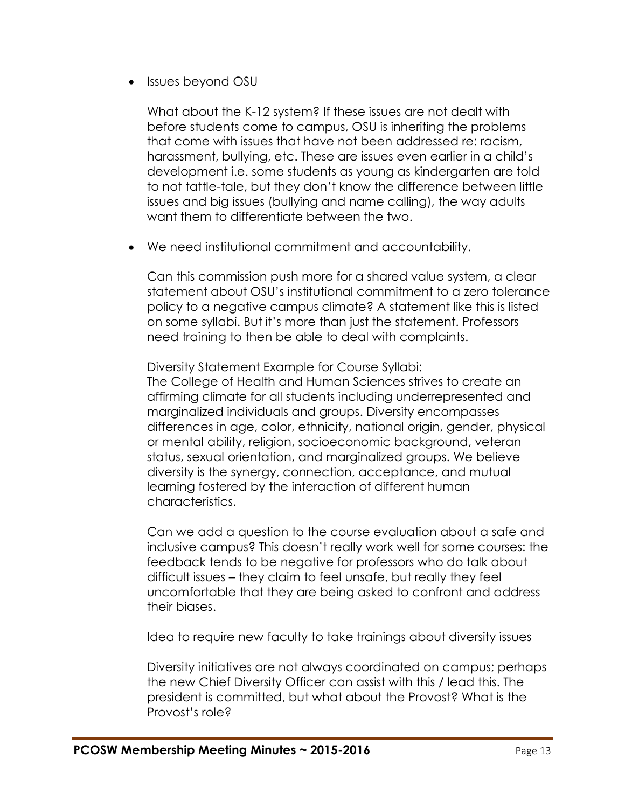• Issues beyond OSU

What about the K-12 system? If these issues are not dealt with before students come to campus, OSU is inheriting the problems that come with issues that have not been addressed re: racism, harassment, bullying, etc. These are issues even earlier in a child's development i.e. some students as young as kindergarten are told to not tattle-tale, but they don't know the difference between little issues and big issues (bullying and name calling), the way adults want them to differentiate between the two.

We need institutional commitment and accountability.

Can this commission push more for a shared value system, a clear statement about OSU's institutional commitment to a zero tolerance policy to a negative campus climate? A statement like this is listed on some syllabi. But it's more than just the statement. Professors need training to then be able to deal with complaints.

Diversity Statement Example for Course Syllabi: The College of Health and Human Sciences strives to create an affirming climate for all students including underrepresented and marginalized individuals and groups. Diversity encompasses differences in age, color, ethnicity, national origin, gender, physical or mental ability, religion, socioeconomic background, veteran status, sexual orientation, and marginalized groups. We believe diversity is the synergy, connection, acceptance, and mutual learning fostered by the interaction of different human characteristics.

Can we add a question to the course evaluation about a safe and inclusive campus? This doesn't really work well for some courses: the feedback tends to be negative for professors who do talk about difficult issues – they claim to feel unsafe, but really they feel uncomfortable that they are being asked to confront and address their biases.

Idea to require new faculty to take trainings about diversity issues

Diversity initiatives are not always coordinated on campus; perhaps the new Chief Diversity Officer can assist with this / lead this. The president is committed, but what about the Provost? What is the Provost's role?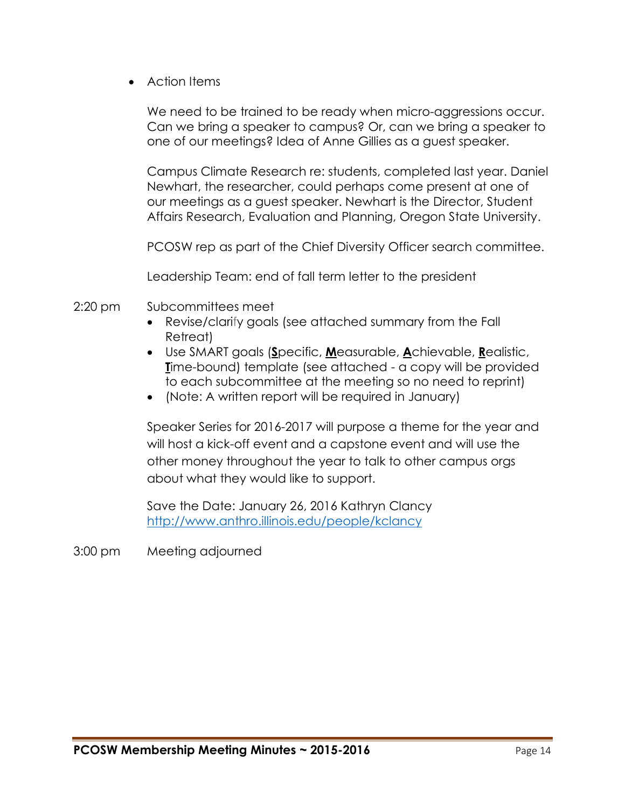Action Items

We need to be trained to be ready when micro-aggressions occur. Can we bring a speaker to campus? Or, can we bring a speaker to one of our meetings? Idea of Anne Gillies as a guest speaker.

Campus Climate Research re: students, completed last year. Daniel Newhart, the researcher, could perhaps come present at one of our meetings as a guest speaker. Newhart is the Director, Student Affairs Research, Evaluation and Planning, Oregon State University.

PCOSW rep as part of the Chief Diversity Officer search committee.

Leadership Team: end of fall term letter to the president

- 2:20 pm Subcommittees meet
	- Revise/clarify goals (see attached summary from the Fall Retreat)
	- Use SMART goals (**S**pecific, **M**easurable, **A**chievable, **R**ealistic, **T**ime-bound) template (see attached - a copy will be provided to each subcommittee at the meeting so no need to reprint)
	- (Note: A written report will be required in January)

Speaker Series for 2016-2017 will purpose a theme for the year and will host a kick-off event and a capstone event and will use the other money throughout the year to talk to other campus orgs about what they would like to support.

Save the Date: January 26, 2016 Kathryn Clancy <http://www.anthro.illinois.edu/people/kclancy>

3:00 pm Meeting adjourned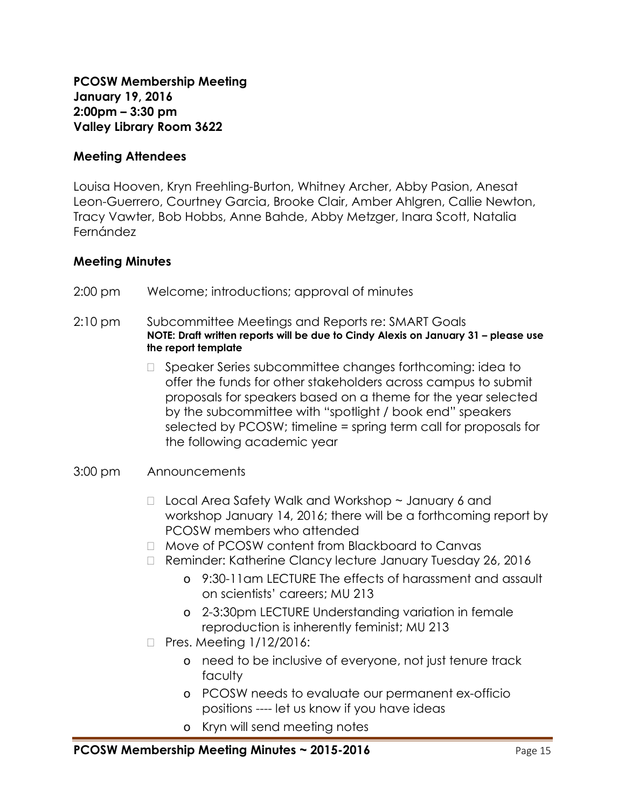**PCOSW Membership Meeting January 19, 2016 2:00pm – 3:30 pm Valley Library Room 3622**

### **Meeting Attendees**

Louisa Hooven, Kryn Freehling-Burton, Whitney Archer, Abby Pasion, Anesat Leon-Guerrero, Courtney Garcia, Brooke Clair, Amber Ahlgren, Callie Newton, Tracy Vawter, Bob Hobbs, Anne Bahde, Abby Metzger, Inara Scott, Natalia Fernández

### **Meeting Minutes**

- 2:00 pm Welcome; introductions; approval of minutes
- 2:10 pm Subcommittee Meetings and Reports re: SMART Goals **NOTE: Draft written reports will be due to Cindy Alexis on January 31 – please use the report template**
	- □ Speaker Series subcommittee changes forthcoming: idea to offer the funds for other stakeholders across campus to submit proposals for speakers based on a theme for the year selected by the subcommittee with "spotlight / book end" speakers selected by PCOSW; timeline = spring term call for proposals for the following academic year
- 3:00 pm Announcements
	- $\Box$  Local Area Safety Walk and Workshop  $\sim$  January 6 and workshop January 14, 2016; there will be a forthcoming report by PCOSW members who attended
	- □ Move of PCOSW content from Blackboard to Canvas
	- □ Reminder: Katherine Clancy lecture January Tuesday 26, 2016
		- o 9:30-11am LECTURE The effects of harassment and assault on scientists' careers; MU 213
		- o 2-3:30pm LECTURE Understanding variation in female reproduction is inherently feminist; MU 213
	- $\Box$  Pres. Meeting  $1/12/2016$ :
		- o need to be inclusive of everyone, not just tenure track faculty
		- o PCOSW needs to evaluate our permanent ex-officio positions ---- let us know if you have ideas
		- o Kryn will send meeting notes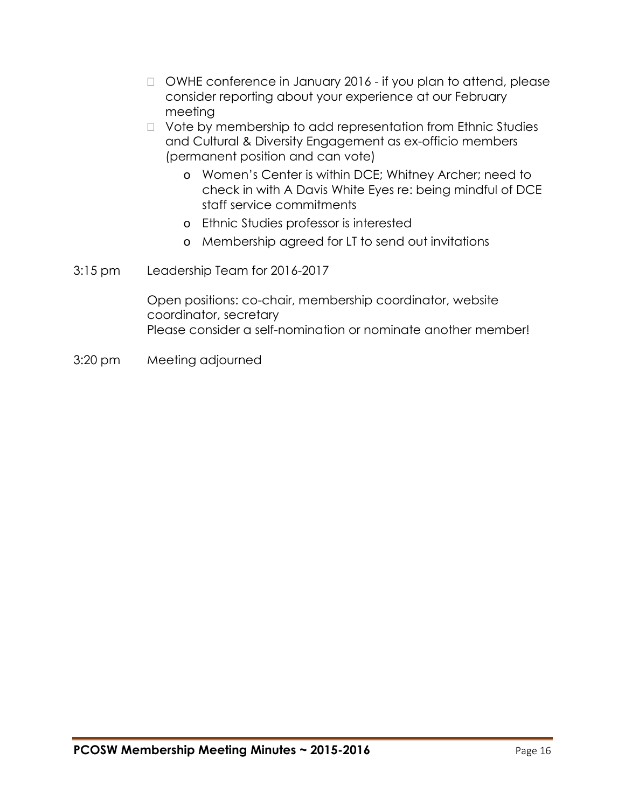- □ OWHE conference in January 2016 if you plan to attend, please consider reporting about your experience at our February meeting
- $\Box$  Vote by membership to add representation from Ethnic Studies and Cultural & Diversity Engagement as ex-officio members (permanent position and can vote)
	- o Women's Center is within DCE; Whitney Archer; need to check in with A Davis White Eyes re: being mindful of DCE staff service commitments
	- o Ethnic Studies professor is interested
	- o Membership agreed for LT to send out invitations
- 3:15 pm Leadership Team for 2016-2017

Open positions: co-chair, membership coordinator, website coordinator, secretary Please consider a self-nomination or nominate another member!

3:20 pm Meeting adjourned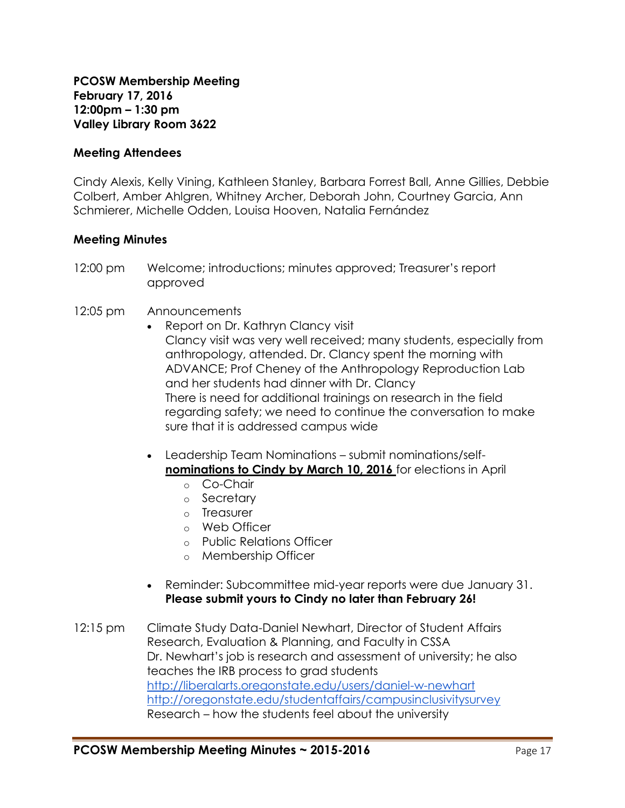**PCOSW Membership Meeting February 17, 2016 12:00pm – 1:30 pm Valley Library Room 3622**

#### **Meeting Attendees**

Cindy Alexis, Kelly Vining, Kathleen Stanley, Barbara Forrest Ball, Anne Gillies, Debbie Colbert, Amber Ahlgren, Whitney Archer, Deborah John, Courtney Garcia, Ann Schmierer, Michelle Odden, Louisa Hooven, Natalia Fernández

#### **Meeting Minutes**

12:00 pm Welcome; introductions; minutes approved; Treasurer's report approved

#### 12:05 pm Announcements

- Report on Dr. Kathryn Clancy visit Clancy visit was very well received; many students, especially from anthropology, attended. Dr. Clancy spent the morning with ADVANCE; Prof Cheney of the Anthropology Reproduction Lab and her students had dinner with Dr. Clancy There is need for additional trainings on research in the field regarding safety; we need to continue the conversation to make sure that it is addressed campus wide
- Leadership Team Nominations submit nominations/self**nominations to Cindy by March 10, 2016** for elections in April
	- o Co-Chair
	- o Secretary
	- o Treasurer
	- o Web Officer
	- o Public Relations Officer
	- o Membership Officer
- Reminder: Subcommittee mid-year reports were due January 31. **Please submit yours to Cindy no later than February 26!**
- 12:15 pm Climate Study Data-Daniel Newhart, Director of Student Affairs Research, Evaluation & Planning, and Faculty in CSSA Dr. Newhart's job is research and assessment of university; he also teaches the IRB process to grad students <http://liberalarts.oregonstate.edu/users/daniel-w-newhart> <http://oregonstate.edu/studentaffairs/campusinclusivitysurvey> Research – how the students feel about the university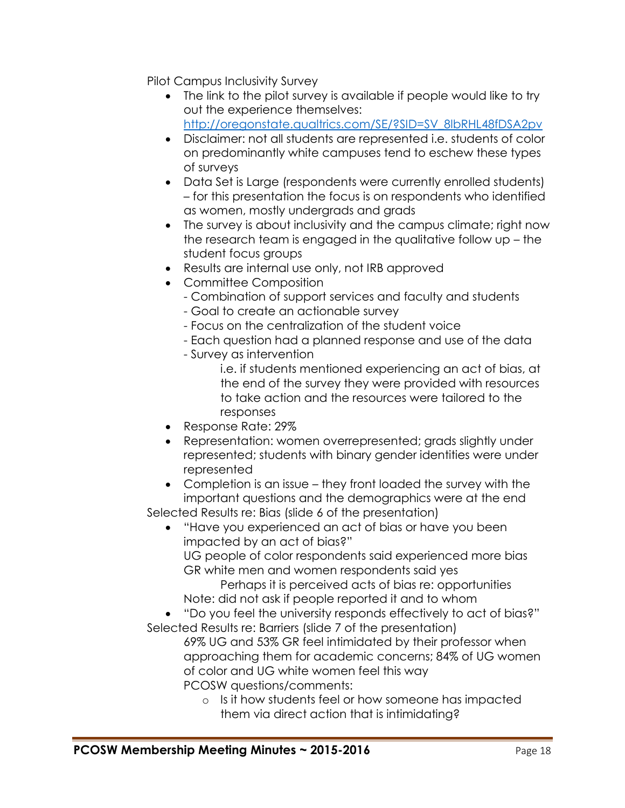Pilot Campus Inclusivity Survey

- The link to the pilot survey is available if people would like to try out the experience themselves: [http://oregonstate.qualtrics.com/SE/?SID=SV\\_8lbRHL48fDSA2pv](http://oregonstate.qualtrics.com/SE/?SID=SV_8lbRHL48fDSA2pv)
- Disclaimer: not all students are represented i.e. students of color on predominantly white campuses tend to eschew these types of surveys
- Data Set is Large (respondents were currently enrolled students) – for this presentation the focus is on respondents who identified as women, mostly undergrads and grads
- The survey is about inclusivity and the campus climate; right now the research team is engaged in the qualitative follow up – the student focus groups
- Results are internal use only, not IRB approved
- Committee Composition
	- Combination of support services and faculty and students
	- Goal to create an actionable survey
	- Focus on the centralization of the student voice
	- Each question had a planned response and use of the data
	- Survey as intervention
		- i.e. if students mentioned experiencing an act of bias, at the end of the survey they were provided with resources to take action and the resources were tailored to the responses
- Response Rate: 29%
- Representation: women overrepresented; grads slightly under represented; students with binary gender identities were under represented
- Completion is an issue they front loaded the survey with the important questions and the demographics were at the end Selected Results re: Bias (slide 6 of the presentation)
	- "Have you experienced an act of bias or have you been impacted by an act of bias?"

UG people of color respondents said experienced more bias GR white men and women respondents said yes

Perhaps it is perceived acts of bias re: opportunities Note: did not ask if people reported it and to whom

 "Do you feel the university responds effectively to act of bias?" Selected Results re: Barriers (slide 7 of the presentation)

69% UG and 53% GR feel intimidated by their professor when approaching them for academic concerns; 84% of UG women of color and UG white women feel this way PCOSW questions/comments:

o Is it how students feel or how someone has impacted them via direct action that is intimidating?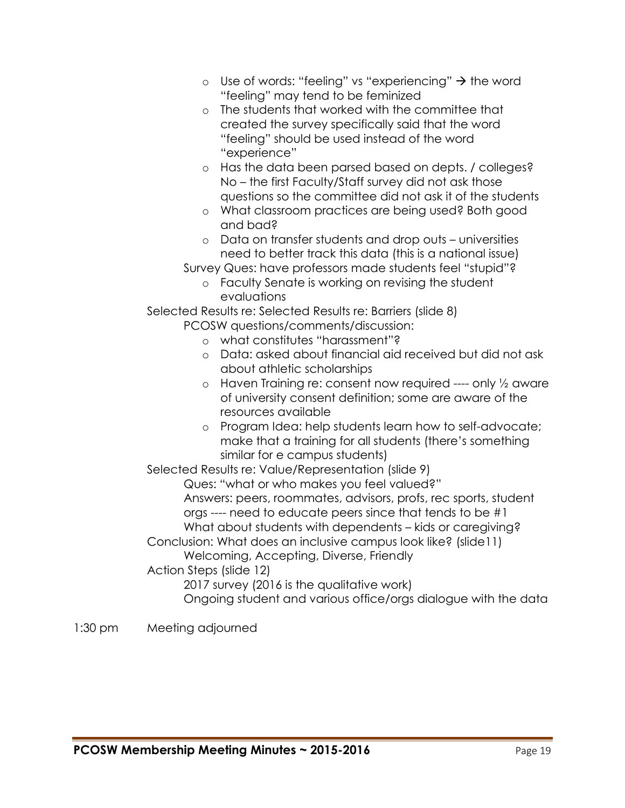- o Use of words: "feeling" vs "experiencing"  $\rightarrow$  the word "feeling" may tend to be feminized
- o The students that worked with the committee that created the survey specifically said that the word "feeling" should be used instead of the word "experience"
- o Has the data been parsed based on depts. / colleges? No – the first Faculty/Staff survey did not ask those questions so the committee did not ask it of the students
- o What classroom practices are being used? Both good and bad?
- o Data on transfer students and drop outs universities need to better track this data (this is a national issue)
- Survey Ques: have professors made students feel "stupid"?
	- o Faculty Senate is working on revising the student evaluations

Selected Results re: Selected Results re: Barriers (slide 8)

PCOSW questions/comments/discussion:

- o what constitutes "harassment"?
- o Data: asked about financial aid received but did not ask about athletic scholarships
- o Haven Training re: consent now required ---- only ½ aware of university consent definition; some are aware of the resources available
- o Program Idea: help students learn how to self-advocate; make that a training for all students (there's something similar for e campus students)

Selected Results re: Value/Representation (slide 9)

Ques: "what or who makes you feel valued?" Answers: peers, roommates, advisors, profs, rec sports, student orgs ---- need to educate peers since that tends to be #1 What about students with dependents – kids or caregiving?

Conclusion: What does an inclusive campus look like? (slide11)

Welcoming, Accepting, Diverse, Friendly

Action Steps (slide 12)

2017 survey (2016 is the qualitative work)

Ongoing student and various office/orgs dialogue with the data

## 1:30 pm Meeting adjourned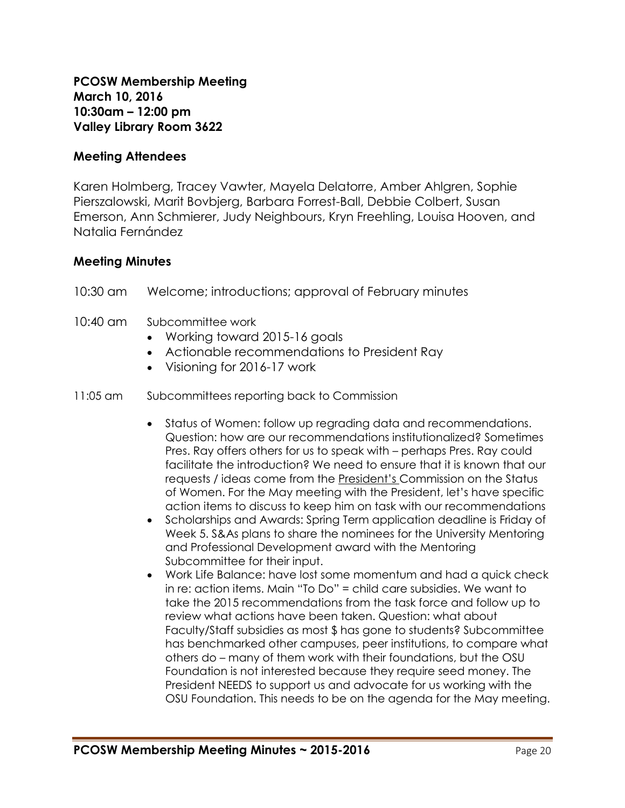### **Meeting Attendees**

Karen Holmberg, Tracey Vawter, Mayela Delatorre, Amber Ahlgren, Sophie Pierszalowski, Marit Bovbjerg, Barbara Forrest-Ball, Debbie Colbert, Susan Emerson, Ann Schmierer, Judy Neighbours, Kryn Freehling, Louisa Hooven, and Natalia Fernández

### **Meeting Minutes**

- 10:30 am Welcome; introductions; approval of February minutes
- 10:40 am Subcommittee work
	- Working toward 2015-16 goals
	- Actionable recommendations to President Ray
	- Visioning for 2016-17 work
- 11:05 am Subcommittees reporting back to Commission
	- Status of Women: follow up regrading data and recommendations. Question: how are our recommendations institutionalized? Sometimes Pres. Ray offers others for us to speak with – perhaps Pres. Ray could facilitate the introduction? We need to ensure that it is known that our requests / ideas come from the President's Commission on the Status of Women. For the May meeting with the President, let's have specific action items to discuss to keep him on task with our recommendations
	- Scholarships and Awards: Spring Term application deadline is Friday of Week 5. S&As plans to share the nominees for the University Mentoring and Professional Development award with the Mentoring Subcommittee for their input.
	- Work Life Balance: have lost some momentum and had a quick check in re: action items. Main "To Do" = child care subsidies. We want to take the 2015 recommendations from the task force and follow up to review what actions have been taken. Question: what about Faculty/Staff subsidies as most \$ has gone to students? Subcommittee has benchmarked other campuses, peer institutions, to compare what others do – many of them work with their foundations, but the OSU Foundation is not interested because they require seed money. The President NEEDS to support us and advocate for us working with the OSU Foundation. This needs to be on the agenda for the May meeting.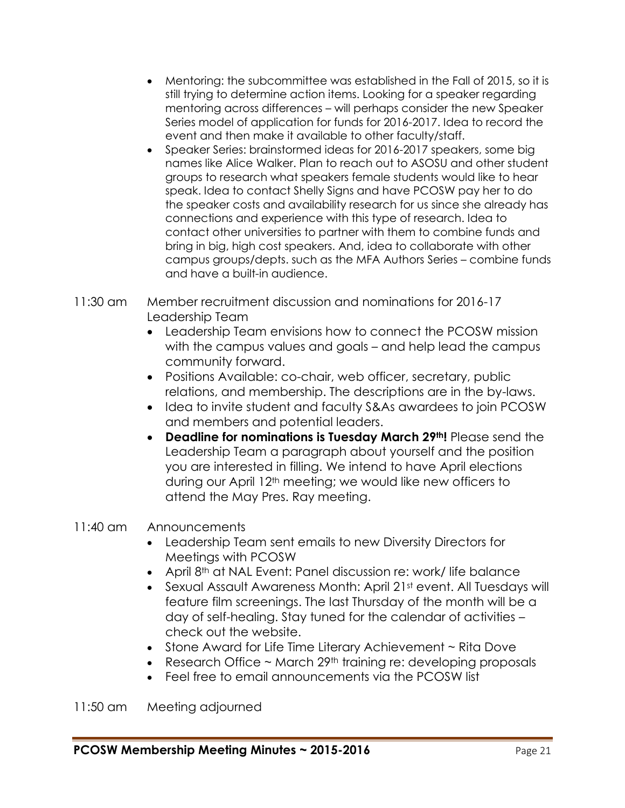- Mentoring: the subcommittee was established in the Fall of 2015, so it is still trying to determine action items. Looking for a speaker regarding mentoring across differences – will perhaps consider the new Speaker Series model of application for funds for 2016-2017. Idea to record the event and then make it available to other faculty/staff.
- Speaker Series: brainstormed ideas for 2016-2017 speakers, some big names like Alice Walker. Plan to reach out to ASOSU and other student groups to research what speakers female students would like to hear speak. Idea to contact Shelly Signs and have PCOSW pay her to do the speaker costs and availability research for us since she already has connections and experience with this type of research. Idea to contact other universities to partner with them to combine funds and bring in big, high cost speakers. And, idea to collaborate with other campus groups/depts. such as the MFA Authors Series – combine funds and have a built-in audience.
- 11:30 am Member recruitment discussion and nominations for 2016-17 Leadership Team
	- Leadership Team envisions how to connect the PCOSW mission with the campus values and goals – and help lead the campus community forward.
	- Positions Available: co-chair, web officer, secretary, public relations, and membership. The descriptions are in the by-laws.
	- Idea to invite student and faculty S&As awardees to join PCOSW and members and potential leaders.
	- **Deadline for nominations is Tuesday March 29th!** Please send the Leadership Team a paragraph about yourself and the position you are interested in filling. We intend to have April elections during our April 12th meeting; we would like new officers to attend the May Pres. Ray meeting.

## 11:40 am Announcements

- Leadership Team sent emails to new Diversity Directors for Meetings with PCOSW
- April 8<sup>th</sup> at NAL Event: Panel discussion re: work/ life balance
- Sexual Assault Awareness Month: April 21st event. All Tuesdays will feature film screenings. The last Thursday of the month will be a day of self-healing. Stay tuned for the calendar of activities – check out the website.
- Stone Award for Life Time Literary Achievement ~ Rita Dove
- Research Office  $\sim$  March 29<sup>th</sup> training re: developing proposals
- Feel free to email announcements via the PCOSW list

11:50 am Meeting adjourned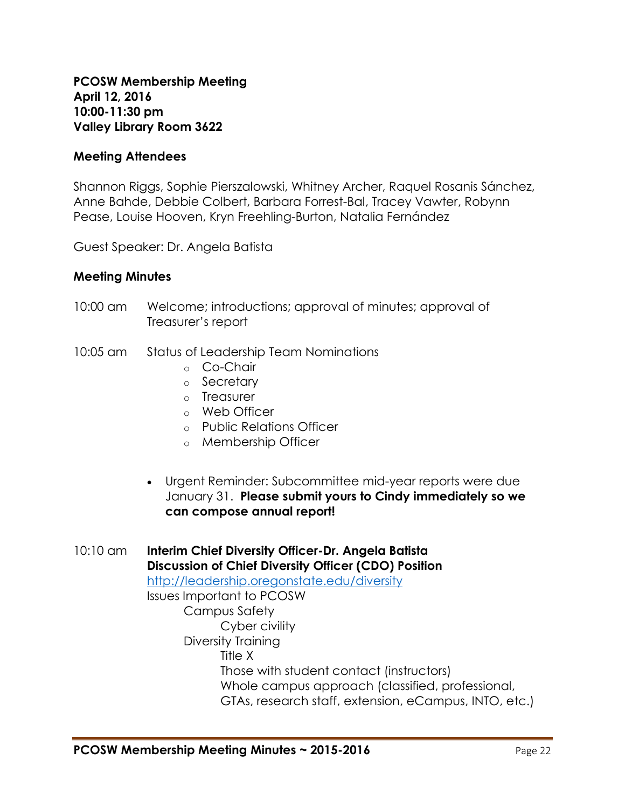**PCOSW Membership Meeting April 12, 2016 10:00-11:30 pm Valley Library Room 3622**

### **Meeting Attendees**

Shannon Riggs, Sophie Pierszalowski, Whitney Archer, Raquel Rosanis Sánchez, Anne Bahde, Debbie Colbert, Barbara Forrest-Bal, Tracey Vawter, Robynn Pease, Louise Hooven, Kryn Freehling-Burton, Natalia Fernández

Guest Speaker: Dr. Angela Batista

### **Meeting Minutes**

- 10:00 am Welcome; introductions; approval of minutes; approval of Treasurer's report
- 10:05 am Status of Leadership Team Nominations
	- o Co-Chair
	- o Secretary
	- o Treasurer
	- o Web Officer
	- o Public Relations Officer
	- o Membership Officer
	- Urgent Reminder: Subcommittee mid-year reports were due January 31. **Please submit yours to Cindy immediately so we can compose annual report!**

10:10 am **Interim Chief Diversity Officer-Dr. Angela Batista Discussion of Chief Diversity Officer (CDO) Position** <http://leadership.oregonstate.edu/diversity> Issues Important to PCOSW Campus Safety Cyber civility Diversity Training Title X Those with student contact (instructors) Whole campus approach (classified, professional, GTAs, research staff, extension, eCampus, INTO, etc.)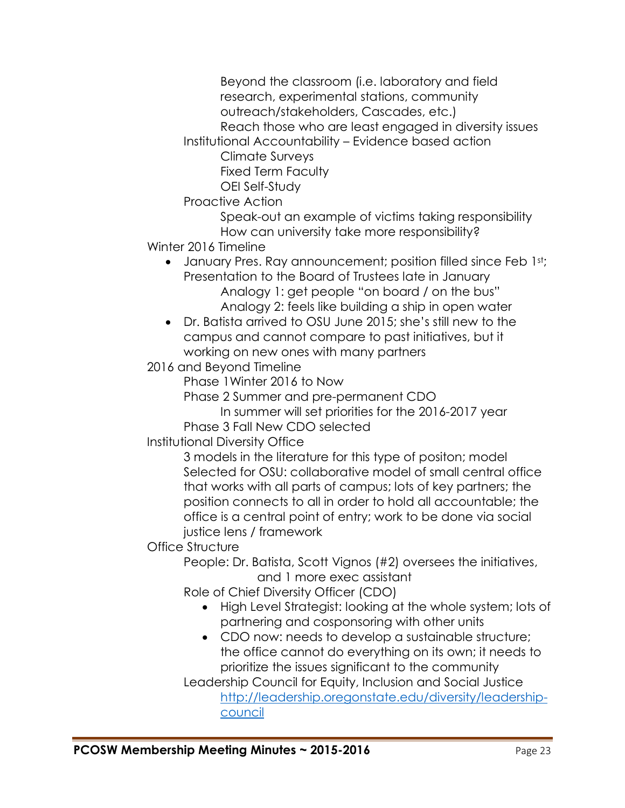Beyond the classroom (i.e. laboratory and field research, experimental stations, community outreach/stakeholders, Cascades, etc.)

Reach those who are least engaged in diversity issues

Institutional Accountability – Evidence based action

Climate Surveys

Fixed Term Faculty

OEI Self-Study

Proactive Action

Speak-out an example of victims taking responsibility How can university take more responsibility?

Winter 2016 Timeline

• January Pres. Ray announcement; position filled since Feb 1st; Presentation to the Board of Trustees late in January Analogy 1: get people "on board / on the bus"

Analogy 2: feels like building a ship in open water

 Dr. Batista arrived to OSU June 2015; she's still new to the campus and cannot compare to past initiatives, but it working on new ones with many partners

2016 and Beyond Timeline

Phase 1Winter 2016 to Now

Phase 2 Summer and pre-permanent CDO

In summer will set priorities for the 2016-2017 year Phase 3 Fall New CDO selected

Institutional Diversity Office

3 models in the literature for this type of positon; model Selected for OSU: collaborative model of small central office that works with all parts of campus; lots of key partners; the position connects to all in order to hold all accountable; the office is a central point of entry; work to be done via social justice lens / framework

Office Structure

People: Dr. Batista, Scott Vignos (#2) oversees the initiatives, and 1 more exec assistant

Role of Chief Diversity Officer (CDO)

- High Level Strategist: looking at the whole system; lots of partnering and cosponsoring with other units
- CDO now: needs to develop a sustainable structure; the office cannot do everything on its own; it needs to prioritize the issues significant to the community

Leadership Council for Equity, Inclusion and Social Justice [http://leadership.oregonstate.edu/diversity/leadership](http://leadership.oregonstate.edu/diversity/leadership-council)[council](http://leadership.oregonstate.edu/diversity/leadership-council)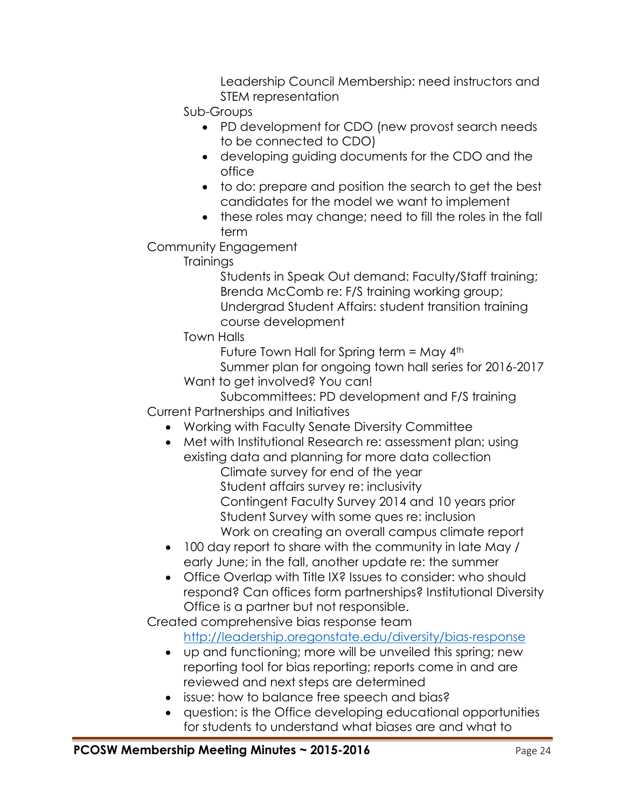Leadership Council Membership: need instructors and STEM representation

Sub-Groups

- PD development for CDO (new provost search needs to be connected to CDO)
- developing guiding documents for the CDO and the office
- to do: prepare and position the search to get the best candidates for the model we want to implement
- these roles may change; need to fill the roles in the fall term

Community Engagement

**Trainings** 

Students in Speak Out demand: Faculty/Staff training; Brenda McComb re: F/S training working group; Undergrad Student Affairs: student transition training course development

Town Halls

Future Town Hall for Spring term = May  $4<sup>th</sup>$ 

Summer plan for ongoing town hall series for 2016-2017 Want to get involved? You can!

Subcommittees: PD development and F/S training Current Partnerships and Initiatives

- Working with Faculty Senate Diversity Committee
- Met with Institutional Research re: assessment plan; using existing data and planning for more data collection
	- Climate survey for end of the year Student affairs survey re: inclusivity Contingent Faculty Survey 2014 and 10 years prior Student Survey with some ques re: inclusion Work on creating an overall campus climate report
- 100 day report to share with the community in late May / early June; in the fall, another update re: the summer
- Office Overlap with Title IX? Issues to consider: who should respond? Can offices form partnerships? Institutional Diversity Office is a partner but not responsible.

Created comprehensive bias response team

<http://leadership.oregonstate.edu/diversity/bias-response>

- up and functioning; more will be unveiled this spring; new reporting tool for bias reporting; reports come in and are reviewed and next steps are determined
- issue: how to balance free speech and bias?
- question: is the Office developing educational opportunities for students to understand what biases are and what to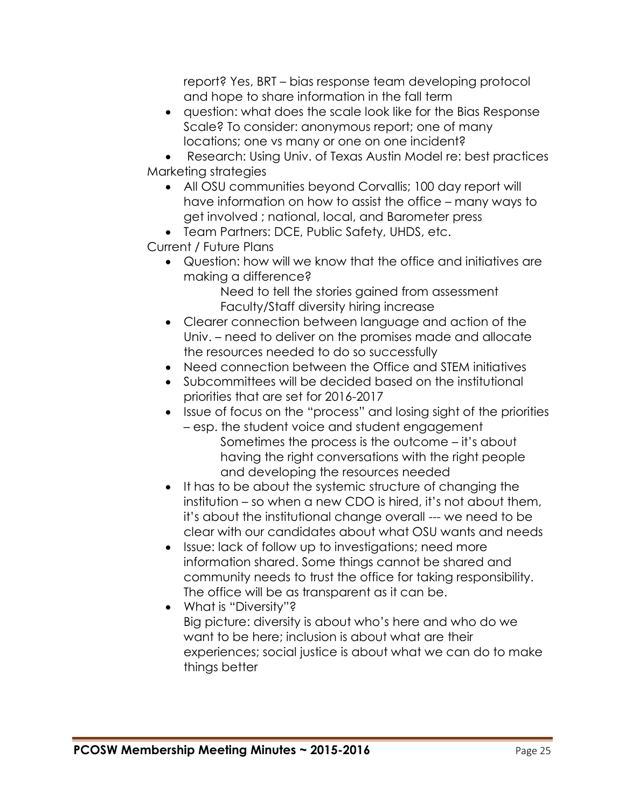report? Yes, BRT – bias response team developing protocol and hope to share information in the fall term

 question: what does the scale look like for the Bias Response Scale? To consider: anonymous report; one of many locations; one vs many or one on one incident?

 Research: Using Univ. of Texas Austin Model re: best practices Marketing strategies

- All OSU communities beyond Corvallis; 100 day report will have information on how to assist the office – many ways to get involved ; national, local, and Barometer press
- Team Partners: DCE, Public Safety, UHDS, etc.

Current / Future Plans

 Question: how will we know that the office and initiatives are making a difference?

Need to tell the stories gained from assessment Faculty/Staff diversity hiring increase

- Clearer connection between language and action of the Univ. – need to deliver on the promises made and allocate the resources needed to do so successfully
- Need connection between the Office and STEM initiatives
- Subcommittees will be decided based on the institutional priorities that are set for 2016-2017
- Issue of focus on the "process" and losing sight of the priorities
	- esp. the student voice and student engagement Sometimes the process is the outcome – it's about having the right conversations with the right people and developing the resources needed
- It has to be about the systemic structure of changing the institution – so when a new CDO is hired, it's not about them, it's about the institutional change overall --- we need to be clear with our candidates about what OSU wants and needs
- Issue: lack of follow up to investigations; need more information shared. Some things cannot be shared and community needs to trust the office for taking responsibility. The office will be as transparent as it can be.
- What is "Diversity"? Big picture: diversity is about who's here and who do we want to be here; inclusion is about what are their experiences; social justice is about what we can do to make things better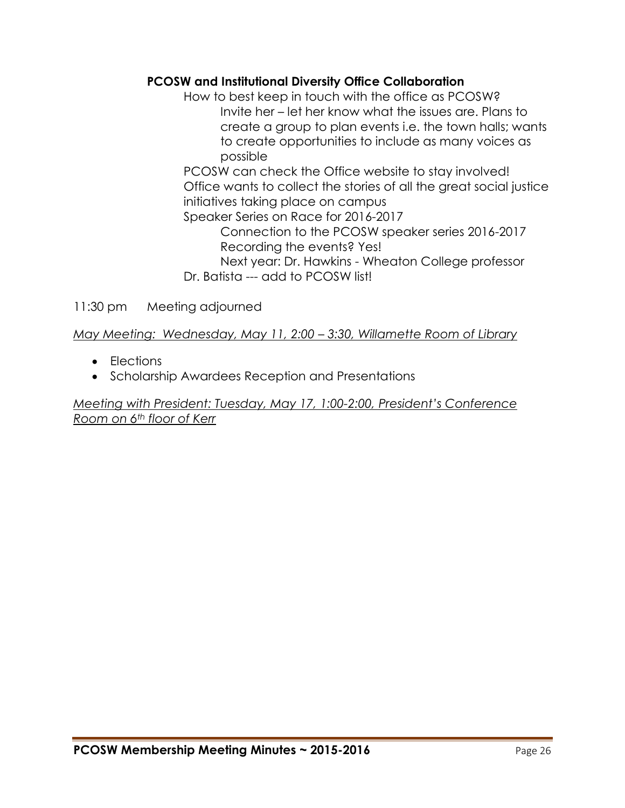## **PCOSW and Institutional Diversity Office Collaboration**

How to best keep in touch with the office as PCOSW? Invite her – let her know what the issues are. Plans to create a group to plan events i.e. the town halls; wants to create opportunities to include as many voices as possible

PCOSW can check the Office website to stay involved! Office wants to collect the stories of all the great social justice initiatives taking place on campus

Speaker Series on Race for 2016-2017 Connection to the PCOSW speaker series 2016-2017 Recording the events? Yes!

Next year: Dr. Hawkins - Wheaton College professor Dr. Batista --- add to PCOSW list!

11:30 pm Meeting adjourned

*May Meeting: Wednesday, May 11, 2:00 – 3:30, Willamette Room of Library*

- Elections
- Scholarship Awardees Reception and Presentations

*Meeting with President: Tuesday, May 17, 1:00-2:00, President's Conference Room on 6th floor of Kerr*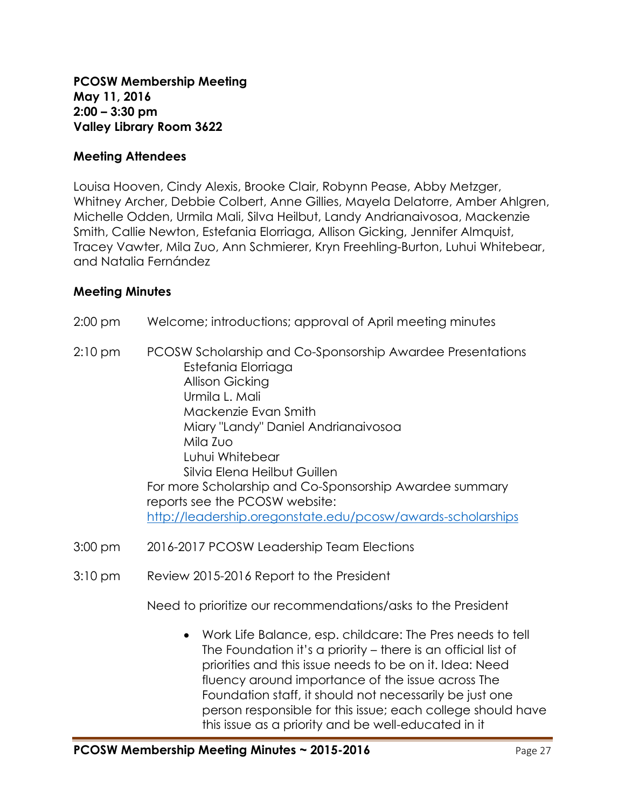**PCOSW Membership Meeting May 11, 2016 2:00 – 3:30 pm Valley Library Room 3622**

### **Meeting Attendees**

Louisa Hooven, Cindy Alexis, Brooke Clair, Robynn Pease, Abby Metzger, Whitney Archer, Debbie Colbert, Anne Gillies, Mayela Delatorre, Amber Ahlgren, Michelle Odden, Urmila Mali, Silva Heilbut, Landy Andrianaivosoa, Mackenzie Smith, Callie Newton, Estefania Elorriaga, Allison Gicking, Jennifer Almquist, Tracey Vawter, Mila Zuo, Ann Schmierer, Kryn Freehling-Burton, Luhui Whitebear, and Natalia Fernández

### **Meeting Minutes**

- 2:00 pm Welcome; introductions; approval of April meeting minutes
- 2:10 pm PCOSW Scholarship and Co-Sponsorship Awardee Presentations Estefania Elorriaga Allison Gicking Urmila L. Mali Mackenzie Evan Smith Miary "Landy" Daniel Andrianaivosoa Mila Zuo Luhui Whitebear Silvia Elena Heilbut Guillen For more Scholarship and Co-Sponsorship Awardee summary reports see the PCOSW website: <http://leadership.oregonstate.edu/pcosw/awards-scholarships>
- 3:00 pm 2016-2017 PCOSW Leadership Team Elections
- 3:10 pm Review 2015-2016 Report to the President

Need to prioritize our recommendations/asks to the President

 Work Life Balance, esp. childcare: The Pres needs to tell The Foundation it's a priority – there is an official list of priorities and this issue needs to be on it. Idea: Need fluency around importance of the issue across The Foundation staff, it should not necessarily be just one person responsible for this issue; each college should have this issue as a priority and be well-educated in it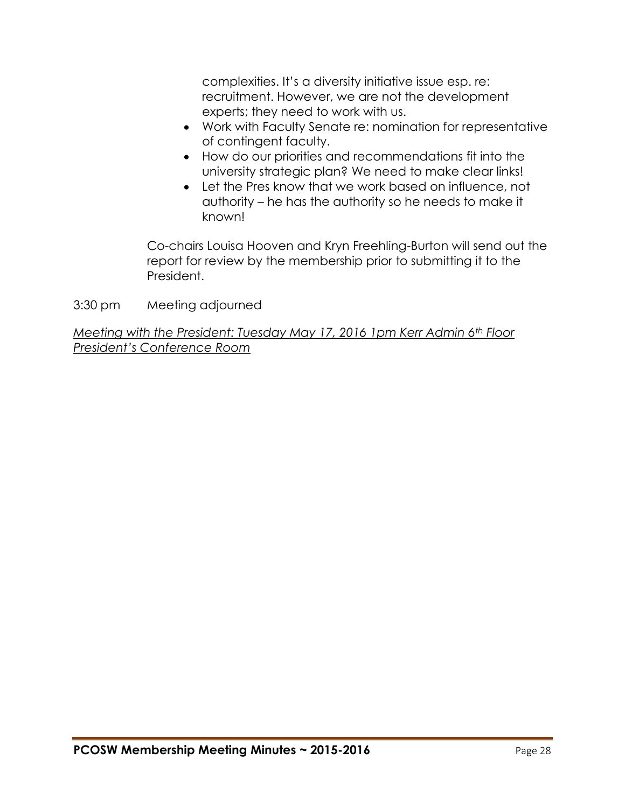complexities. It's a diversity initiative issue esp. re: recruitment. However, we are not the development experts; they need to work with us.

- Work with Faculty Senate re: nomination for representative of contingent faculty.
- How do our priorities and recommendations fit into the university strategic plan? We need to make clear links!
- Let the Pres know that we work based on influence, not authority – he has the authority so he needs to make it known!

Co-chairs Louisa Hooven and Kryn Freehling-Burton will send out the report for review by the membership prior to submitting it to the President.

3:30 pm Meeting adjourned

*Meeting with the President: Tuesday May 17, 2016 1pm Kerr Admin 6th Floor President's Conference Room*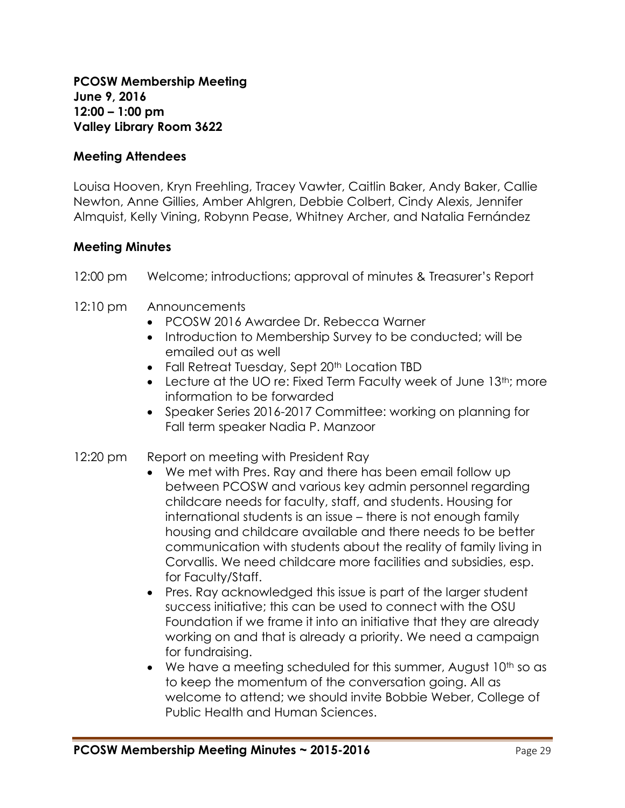**PCOSW Membership Meeting June 9, 2016 12:00 – 1:00 pm Valley Library Room 3622**

### **Meeting Attendees**

Louisa Hooven, Kryn Freehling, Tracey Vawter, Caitlin Baker, Andy Baker, Callie Newton, Anne Gillies, Amber Ahlgren, Debbie Colbert, Cindy Alexis, Jennifer Almquist, Kelly Vining, Robynn Pease, Whitney Archer, and Natalia Fernández

### **Meeting Minutes**

- 12:00 pm Welcome; introductions; approval of minutes & Treasurer's Report
- 12:10 pm Announcements
	- PCOSW 2016 Awardee Dr. Rebecca Warner
	- Introduction to Membership Survey to be conducted; will be emailed out as well
	- Fall Retreat Tuesday, Sept 20<sup>th</sup> Location TBD
	- $\bullet$  Lecture at the UO re: Fixed Term Faculty week of June 13<sup>th</sup>; more information to be forwarded
	- Speaker Series 2016-2017 Committee: working on planning for Fall term speaker Nadia P. Manzoor

### 12:20 pm Report on meeting with President Ray

- We met with Pres. Ray and there has been email follow up between PCOSW and various key admin personnel regarding childcare needs for faculty, staff, and students. Housing for international students is an issue – there is not enough family housing and childcare available and there needs to be better communication with students about the reality of family living in Corvallis. We need childcare more facilities and subsidies, esp. for Faculty/Staff.
- Pres. Ray acknowledged this issue is part of the larger student success initiative; this can be used to connect with the OSU Foundation if we frame it into an initiative that they are already working on and that is already a priority. We need a campaign for fundraising.
- $\bullet$  We have a meeting scheduled for this summer, August 10<sup>th</sup> so as to keep the momentum of the conversation going. All as welcome to attend; we should invite Bobbie Weber, College of Public Health and Human Sciences.